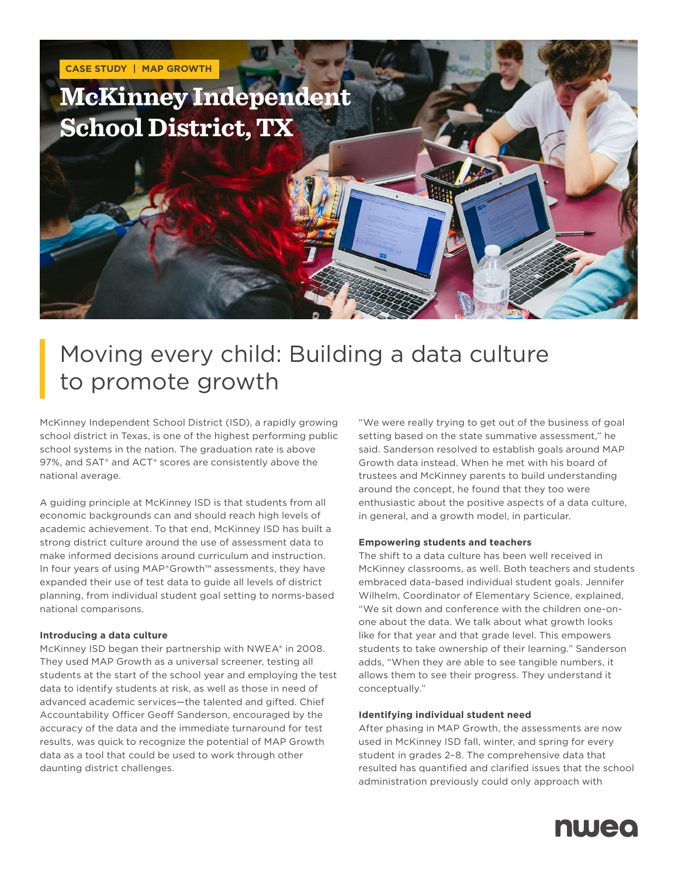

## Moving every child: Building a data culture to promote growth

McKinney Independent School District (ISD), a rapidly growing school district in Texas, is one of the highest performing public school systems in the nation. The graduation rate is above 97%, and SAT® and ACT® scores are consistently above the national average.

A guiding principle at McKinney ISD is that students from all economic backgrounds can and should reach high levels of academic achievement. To that end, McKinney ISD has built a strong district culture around the use of assessment data to make informed decisions around curriculum and instruction. In four years of using MAP®Growth™ assessments, they have expanded their use of test data to guide all levels of district planning, from individual student goal setting to norms-based national comparisons.

#### **Introducing a data culture**

McKinney ISD began their partnership with NWEA® in 2008. They used MAP Growth as a universal screener, testing all students at the start of the school year and employing the test data to identify students at risk, as well as those in need of advanced academic services—the talented and gifted. Chief Accountability Officer Geoff Sanderson, encouraged by the accuracy of the data and the immediate turnaround for test results, was quick to recognize the potential of MAP Growth data as a tool that could be used to work through other daunting district challenges.

"We were really trying to get out of the business of goal setting based on the state summative assessment," he said. Sanderson resolved to establish goals around MAP Growth data instead. When he met with his board of trustees and McKinney parents to build understanding around the concept, he found that they too were enthusiastic about the positive aspects of a data culture, in general, and a growth model, in particular.

#### **Empowering students and teachers**

The shift to a data culture has been well received in McKinney classrooms, as well. Both teachers and students embraced data-based individual student goals. Jennifer Wilhelm, Coordinator of Elementary Science, explained, "We sit down and conference with the children one-onone about the data. We talk about what growth looks like for that year and that grade level. This empowers students to take ownership of their learning." Sanderson adds, "When they are able to see tangible numbers, it allows them to see their progress. They understand it conceptually."

#### **Identifying individual student need**

After phasing in MAP Growth, the assessments are now used in McKinney ISD fall, winter, and spring for every student in grades 2–8. The comprehensive data that resulted has quantified and clarified issues that the school administration previously could only approach with